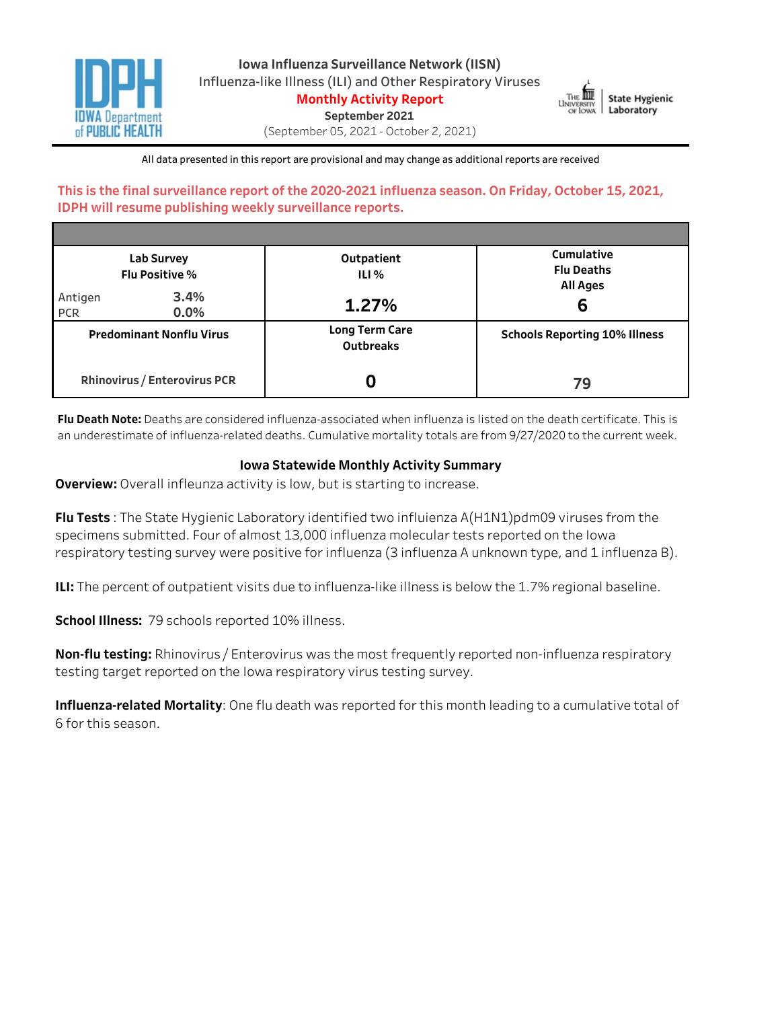

**Iowa Influenza Surveillance Network (IISN)** Influenza-like Illness (ILI) and Other Respiratory Viruses

**Monthly Activity Report** 

September 2021



(September05,2021-October2,2021)

All data presented in this report are provisional and may change as additional reports are received

# This is the final surveillance report of the 2020-2021 influenza season. On Friday, October 15, 2021, **IDPH will resume publishing weekly surveillance reports.**

|                       | Lab Survey<br><b>Flu Positive %</b> | Outpatient<br>ILI%                        | Cumulative<br><b>Flu Deaths</b><br><b>All Ages</b> |
|-----------------------|-------------------------------------|-------------------------------------------|----------------------------------------------------|
| Antigen<br><b>PCR</b> | 3.4%<br>$0.0\%$                     | 1.27%                                     | 6                                                  |
|                       | <b>Predominant Nonflu Virus</b>     | <b>Long Term Care</b><br><b>Outbreaks</b> | <b>Schools Reporting 10% Illness</b>               |
|                       | Rhinovirus / Enterovirus PCR        |                                           | 79                                                 |

Flu Death Note: Deaths are considered influenza-associated when influenza is listed on the death certificate. This is an underestimate of influenza-related deaths. Cumulative mortality totals are from 9/27/2020 to the current week.

# **Iowa Statewide Monthly Activity Summary**

**Overview:** Overall infleunza activity is low, but is starting to increase.

**Flu Tests**: The State Hygienic Laboratory identified two influienza A(H1N1)pdm09 viruses from the specimens submitted. Four of almost 13,000 influenza molecular tests reported on the Iowa respiratory testing survey were positive for influenza (3 influenza A unknown type, and 1 influenza B).

**ILI:** The percent of outpatient visits due to influenza-like illness is below the 1.7% regional baseline.

**School Illness:** 79 schools reported 10% illness.

**Non-flu testing:** Rhinovirus / Enterovirus was the most frequently reported non-influenza respiratory testing target reported on the Iowa respiratory virus testing survey.

**Influenza-related Mortality**: One flu death was reported for this month leading to a cumulative total of 6forthisseason.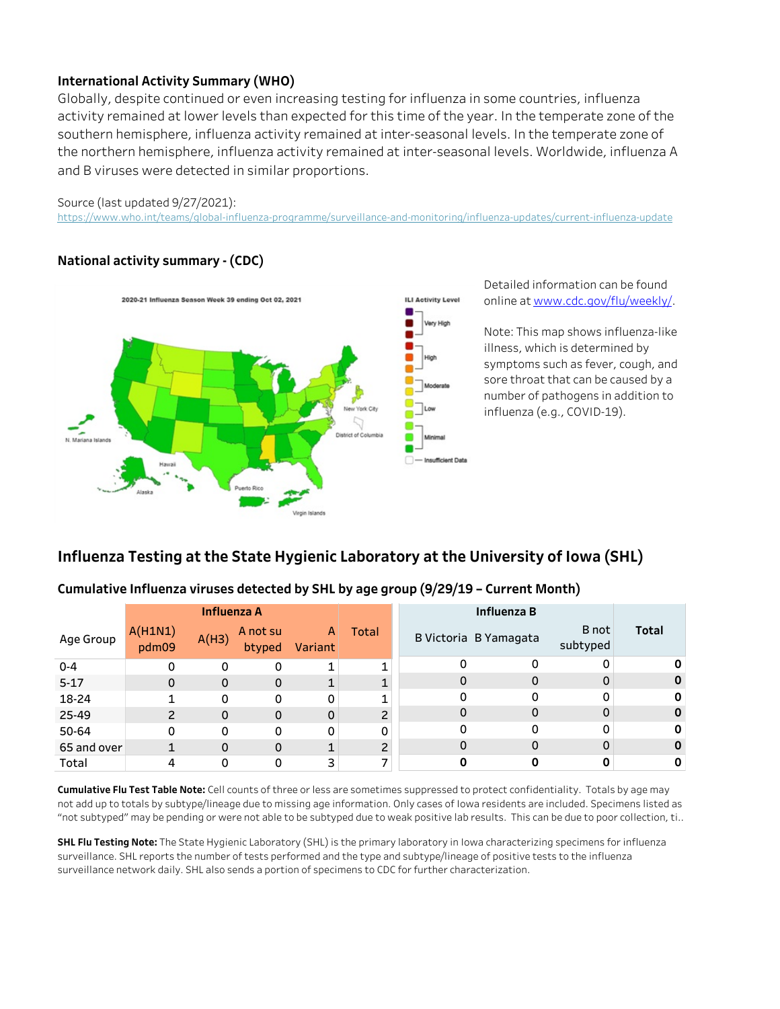# **International Activity Summary (WHO)**

Globally, despite continued or even increasing testing for influenza in some countries, influenza activity remained at lower levels than expected for this time of the year. In the temperate zone of the southern hemisphere, influenza activity remained at inter-seasonal levels. In the temperate zone of the northern hemisphere, influenza activity remained at inter-seasonal levels. Worldwide, influenza A and B viruses were detected in similar proportions.

#### Source (last updated 9/27/2021):

https://www.who.int/teams/global-influenza-programme/surveillance-and-monitoring/influenza-updates/current-influenza-update

# **Nationalactivitysummary-(CDC)**



Detailed information can be found onlineatwww.cdc.gov/flu/weekly/.

Note: This map shows influenza-like illness, which is determined by symptoms such as fever, cough, and sore throat that can be caused by a number of pathogens in addition to influenza(e.g.,COVID-19).

# **Influenza Testing at the State Hygienic Laboratory at the University of Iowa (SHL)**

### Cumulative Influenza viruses detected by SHL by age group (9/29/19 - Current Month)

|             |                  | <b>Influenza A</b> |                    |              |                |          |                       |                   |              |
|-------------|------------------|--------------------|--------------------|--------------|----------------|----------|-----------------------|-------------------|--------------|
| Age Group   | A(H1N1)<br>pdm09 | A(H3)              | A not su<br>btyped | A<br>Variant | Total          |          | B Victoria B Yamagata | B not<br>subtyped | <b>Total</b> |
| $0 - 4$     |                  | $\Omega$           | 0                  | 1            | 1              |          | 0                     | 0                 |              |
| $5 - 17$    | 0                | $\Omega$           | $\mathbf 0$        | 1            | 1              | 0        | 0                     | 0                 |              |
| 18-24       |                  | $\Omega$           | 0                  | 0            | 1              |          | 0                     | 0                 |              |
| 25-49       | $\overline{c}$   | $\Omega$           | $\mathbf{0}$       | 0            | $\overline{c}$ | $\Omega$ | 0                     | $\mathbf 0$       |              |
| 50-64       | 0                | $\Omega$           | 0                  | 0            | 0              | 0        | 0                     | 0                 |              |
| 65 and over |                  | O                  | 0                  | 1            | $\overline{c}$ |          | 0                     | $\mathbf 0$       |              |
| Total       |                  |                    | 0                  | 3            | –              |          |                       |                   |              |

Cumulative Flu Test Table Note: Cell counts of three or less are sometimes suppressed to protect confidentiality. Totals by age may not add up to totals by subtype/lineage due to missing age information. Only cases of Iowa residents are included. Specimens listed as "not subtyped" may be pending or were not able to be subtyped due to weak positive lab results. This can be due to poor collection, ti..

**SHL Flu Testing Note:** The State Hygienic Laboratory (SHL) is the primary laboratory in Iowa characterizing specimens for influenza surveillance. SHL reports the number of tests performed and the type and subtype/lineage of positive tests to the influenza surveillance network daily. SHL also sends a portion of specimens to CDC for further characterization.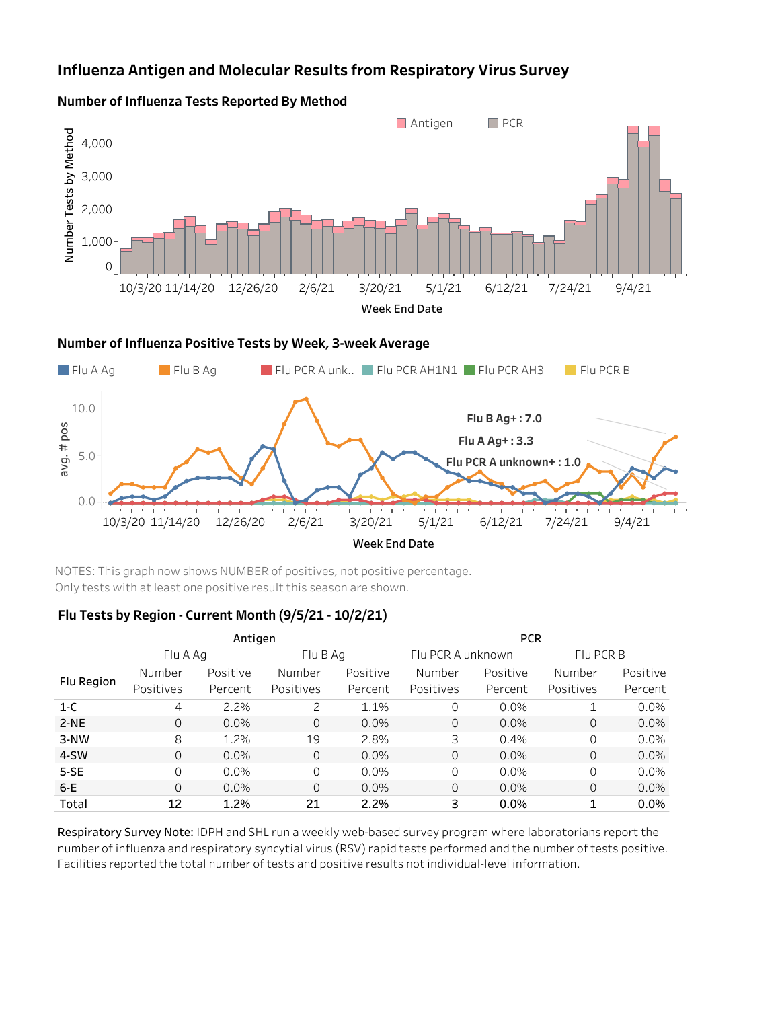# **Influenza Antigen and Molecular Results from Respiratory Virus Survey**



### **Number of Influenza Tests Reported By Method**



NOTES: This graph now shows NUMBER of positives, not positive percentage. Only tests with at least one positive result this season are shown.

### Flu Tests by Region - Current Month (9/5/21 - 10/2/21)

|            |           | Antigen  |           |          | <b>PCR</b>        |          |              |          |  |  |  |
|------------|-----------|----------|-----------|----------|-------------------|----------|--------------|----------|--|--|--|
|            | Flu A Ag  |          | Flu B Ag  |          | Flu PCR A unknown |          | Flu PCR B    |          |  |  |  |
|            | Number    | Positive | Number    | Positive | Number            | Positive | Number       | Positive |  |  |  |
| Flu Region | Positives | Percent  | Positives | Percent  | Positives         | Percent  | Positives    | Percent  |  |  |  |
| $1-C$      | 4         | 2.2%     | 2         | 1.1%     | $\Omega$          | $0.0\%$  | $\mathbf{1}$ | 0.0%     |  |  |  |
| $2-NE$     | $\Omega$  | $0.0\%$  | $\Omega$  | 0.0%     | $\Omega$          | $0.0\%$  | $\Omega$     | 0.0%     |  |  |  |
| 3-NW       | 8         | 1.2%     | 19        | 2.8%     | 3                 | 0.4%     | $\Omega$     | 0.0%     |  |  |  |
| 4-SW       | $\Omega$  | $0.0\%$  | $\Omega$  | $0.0\%$  | $\Omega$          | $0.0\%$  | $\Omega$     | 0.0%     |  |  |  |
| $5-SE$     | $\Omega$  | 0.0%     | $\Omega$  | 0.0%     | $\Omega$          | $0.0\%$  | $\Omega$     | 0.0%     |  |  |  |
| $6-E$      | $\Omega$  | 0.0%     | $\Omega$  | $0.0\%$  | $\Omega$          | 0.0%     | $\mathbf 0$  | 0.0%     |  |  |  |
| Total      | 12        | 1.2%     | 21        | 2.2%     | 3                 | 0.0%     | 1            | 0.0%     |  |  |  |

Respiratory Survey Note: IDPH and SHL run a weekly web-based survey program where laboratorians report the number of influenza and respiratory syncytial virus (RSV) rapid tests performed and the number of tests positive. Facilities reported the total number of tests and positive results not individual-level information.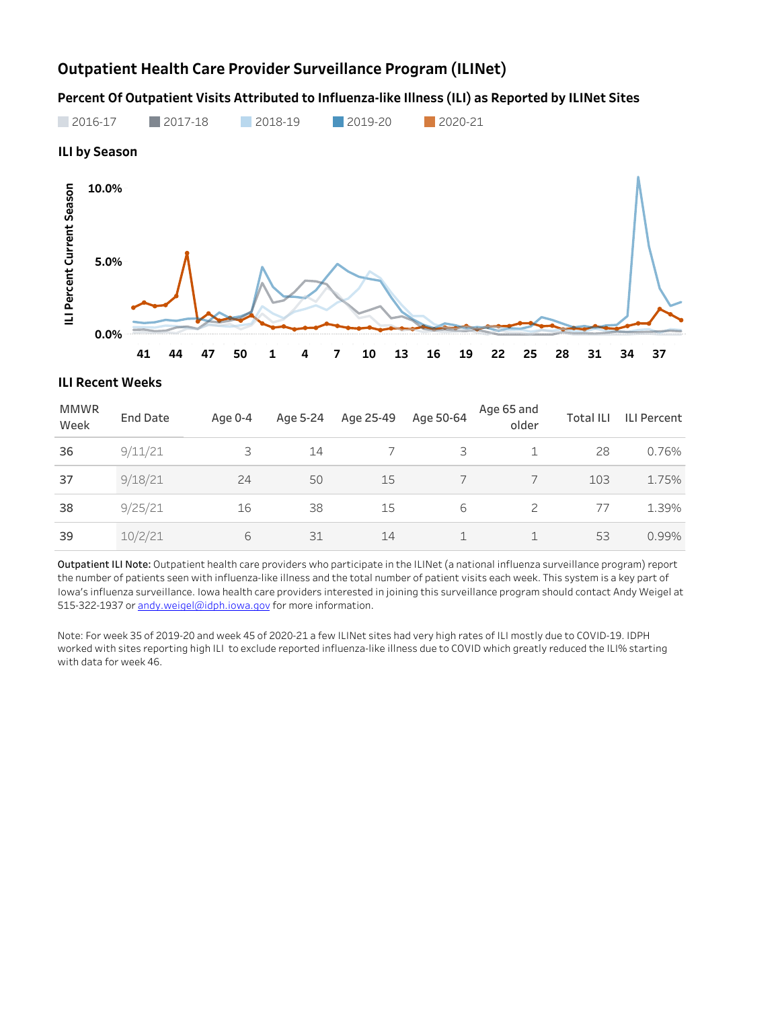# **Outpatient Health Care Provider Surveillance Program (ILINet)**

# Percent Of Outpatient Visits Attributed to Influenza-like Illness (ILI) as Reported by ILINet Sites



# **41 44 47 50 1 4 7 10 13 16 19 22 25 28 31 34 37**

### **ILI Recent Weeks**

| <b>MMWR</b><br>Week | <b>End Date</b> | Age 0-4 | Age 5-24 | Age 25-49 | Age 50-64 | Age 65 and<br>older | <b>Total ILI</b> | <b>ILI Percent</b> |
|---------------------|-----------------|---------|----------|-----------|-----------|---------------------|------------------|--------------------|
| 36                  | 9/11/21         | 3       | 14       |           | 3         |                     | 28               | 0.76%              |
| 37                  | 9/18/21         | 24      | 50       | 15        |           |                     | 103              | 1.75%              |
| 38                  | 9/25/21         | 16      | 38       | 15        | 6         |                     | 77               | 1.39%              |
| 39                  | 10/2/21         | 6       | 31       | 14        |           |                     | 53               | 0.99%              |

Outpatient ILI Note: Outpatient health care providers who participate in the ILINet (a national influenza surveillance program) report the number of patients seen with influenza-like illness and the total number of patient visits each week. This system is a key part of Iowa's influenza surveillance. Iowa health care providers interested in joining this surveillance program should contact Andy Weigel at 515-322-1937 or andy.weigel@idph.iowa.gov for more information.

Note: For week 35 of 2019-20 and week 45 of 2020-21 a few ILINet sites had very high rates of ILI mostly due to COVID-19. IDPH worked with sites reporting high ILI to exclude reported influenza-like illness due to COVID which greatly reduced the ILI% starting with data for week 46.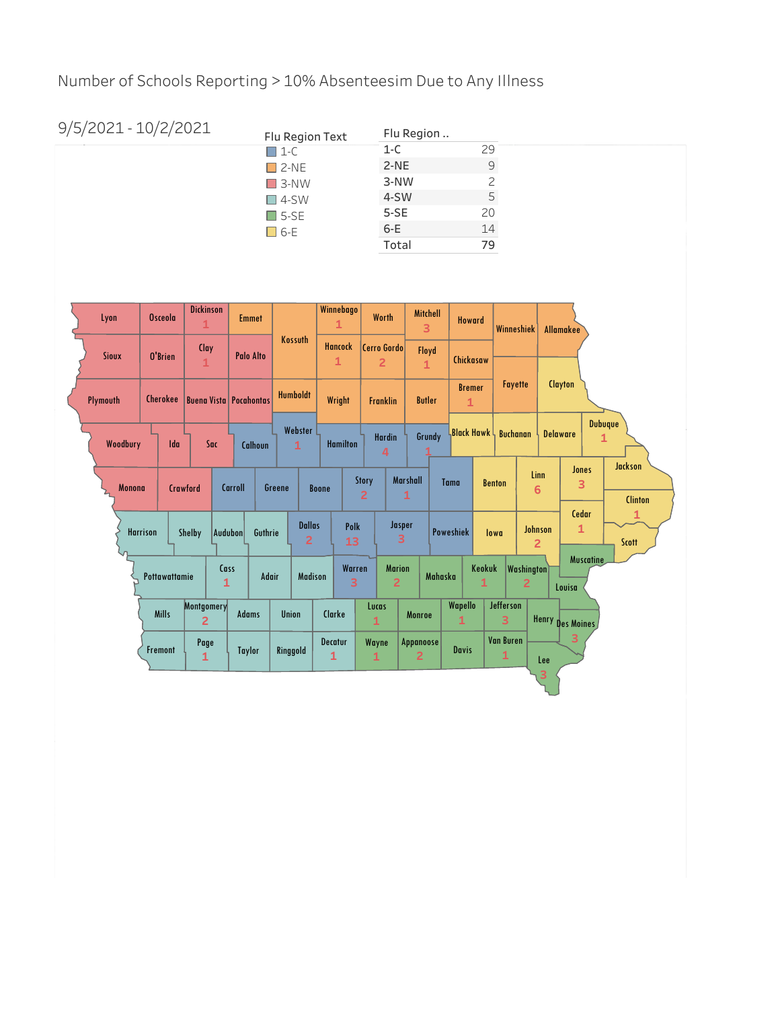Number of Schools Reporting > 10% Absenteesim Due to Any Illness

| 9/5/2021 - 10/2/2021 | Flu Region Text | Flu Region |    |  |  |  |
|----------------------|-----------------|------------|----|--|--|--|
|                      | $\Box$ 1-C      | 1-C        | 29 |  |  |  |
|                      | $\Box$ 2-NE     | $2-NE$     | 9  |  |  |  |
|                      | $\Box$ 3-NW     | 3-NW       | っ  |  |  |  |
|                      | $\Box$ 4-SW     | 4-SW       | 5  |  |  |  |
|                      | $\square$ 5-SE  | $5-SE$     | 20 |  |  |  |
|                      | □ 6-E           | 6-E        | 14 |  |  |  |
|                      |                 | Total      | 79 |  |  |  |

| Lyon |               | <b>Osceola</b>  |          | <b>Dickinson</b><br>1        | <b>Emmet</b>                  |                         |                                 | Winnebago<br>$\mathbf{1}$ |                         | Worth                           | <b>Mitchell</b><br>3        |         | <b>Howard</b>                 |               | <b>Winneshiek</b>     |                           | <b>Allamakee</b>        |                     |                                  |
|------|---------------|-----------------|----------|------------------------------|-------------------------------|-------------------------|---------------------------------|---------------------------|-------------------------|---------------------------------|-----------------------------|---------|-------------------------------|---------------|-----------------------|---------------------------|-------------------------|---------------------|----------------------------------|
|      | <b>Sioux</b>  | O'Brien         |          | Clay<br>$\mathbf{1}$         | <b>Palo Alto</b>              | Kossuth                 |                                 | <b>Hancock</b><br>1       |                         | Cerro Gordo<br>$\overline{2}$   | Floyd<br>$\mathbf{1}$       |         | Chickasaw                     |               |                       |                           |                         |                     |                                  |
|      | Plymouth      | Cherokee        |          |                              | <b>Buena Vista Pocahontas</b> | <b>Humboldt</b>         |                                 | Wright                    |                         | <b>Franklin</b>                 | <b>Butler</b>               |         | <b>Bremer</b><br>$\mathbf{1}$ |               | Fayette               |                           | Clayton                 |                     |                                  |
|      | Woodbury      |                 | Ida      | Sac                          | Calhoun                       | Webster<br>$\mathbf{1}$ |                                 | <b>Hamilton</b>           |                         | <b>Hardin</b><br>$\overline{4}$ | Grundy                      |         | <b>Black Hawk</b>             |               | <b>Buchanan</b>       |                           | <b>Delaware</b>         | <b>Dubuque</b><br>1 |                                  |
|      | <b>Monona</b> |                 | Crawford |                              | <b>Carroll</b>                | Greene                  | <b>Boone</b>                    |                           | Story<br>$\overline{2}$ |                                 | Marshall<br>1               |         | <b>Tama</b>                   | <b>Benton</b> |                       | Linn<br>$6\phantom{1}6$   |                         | <b>Jones</b><br>3   | <b>Jackson</b><br><b>Clinton</b> |
|      |               | <b>Harrison</b> |          | Shelby                       | Audubon<br>Guthrie            |                         | <b>Dallas</b><br>$\overline{2}$ | Polk<br>13                |                         | Jasper<br>3                     |                             |         | <b>Poweshiek</b>              | lowa          |                       | Johnson<br>$\overline{2}$ | Cedar<br>1              |                     | 1<br>Scott                       |
|      |               | Pottawattamie   |          | Cass<br>$\mathbf{1}$         | <b>Adair</b>                  |                         | <b>Madison</b>                  | Warren<br>3               |                         | <b>Marion</b><br>$\overline{2}$ |                             | Mahaska |                               | Keokuk<br>1   | $\overline{2}$        | <b>Washington</b>         | Louisa                  | <b>Muscatine</b>    |                                  |
|      |               | <b>Mills</b>    |          | Montgomery<br>$\overline{2}$ | <b>Adams</b>                  | <b>Union</b>            |                                 | Clarke                    | Lucas<br>1              |                                 | <b>Monroe</b>               |         | Wapello<br>1                  |               | <b>Jefferson</b><br>3 |                           | <b>Henry Des Moines</b> |                     |                                  |
|      |               | Fremont         |          | Page<br>1                    | <b>Taylor</b>                 | Ringgold                | $\mathbf{1}$                    | Decatur                   | Wayne<br>1              |                                 | Appanoose<br>$\overline{2}$ |         | <b>Davis</b>                  |               | <b>Van Buren</b><br>1 | Lee                       | 3                       |                     |                                  |
|      |               |                 |          |                              |                               |                         |                                 |                           |                         |                                 |                             |         |                               |               |                       | з                         |                         |                     |                                  |